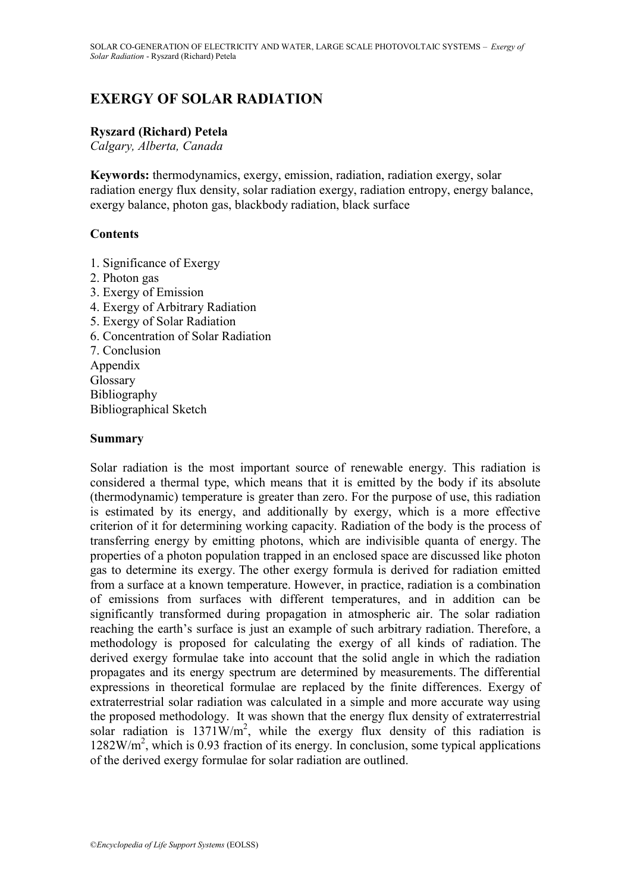# **EXERGY OF SOLAR RADIATION**

#### **Ryszard (Richard) Petela**

*Calgary, Alberta, Canada*

**Keywords:** thermodynamics, exergy, emission, radiation, radiation exergy, solar radiation energy flux density, solar radiation exergy, radiation entropy, energy balance, exergy balance, photon gas, blackbody radiation, black surface

#### **Contents**

- 1. Significance of Exergy
- 2. Photon gas
- 3. Exergy of Emission
- 4. Exergy of Arbitrary Radiation
- 5. Exergy of Solar Radiation
- 6. Concentration of Solar Radiation
- 7. Conclusion Appendix Glossary Bibliography Bibliographical Sketch

#### **Summary**

Solar radiation is the most important source of renewable energy. This radiation is considered a thermal type, which means that it is emitted by the body if its absolute (thermodynamic) temperature is greater than zero. For the purpose of use, this radiation is estimated by its energy, and additionally by exergy, which is a more effective criterion of it for determining working capacity. Radiation of the body is the process of transferring energy by emitting photons, which are indivisible quanta of energy. The properties of a photon population trapped in an enclosed space are discussed like photon gas to determine its exergy. The other exergy formula is derived for radiation emitted from a surface at a known temperature. However, in practice, radiation is a combination of emissions from surfaces with different temperatures, and in addition can be significantly transformed during propagation in atmospheric air. The solar radiation reaching the earth's surface is just an example of such arbitrary radiation. Therefore, a methodology is proposed for calculating the exergy of all kinds of radiation. The derived exergy formulae take into account that the solid angle in which the radiation propagates and its energy spectrum are determined by measurements. The differential expressions in theoretical formulae are replaced by the finite differences. Exergy of extraterrestrial solar radiation was calculated in a simple and more accurate way using the proposed methodology. It was shown that the energy flux density of extraterrestrial solar radiation is  $1371 \text{W/m}^2$ , while the exergy flux density of this radiation is 1282W/m<sup>2</sup>, which is 0.93 fraction of its energy. In conclusion, some typical applications of the derived exergy formulae for solar radiation are outlined.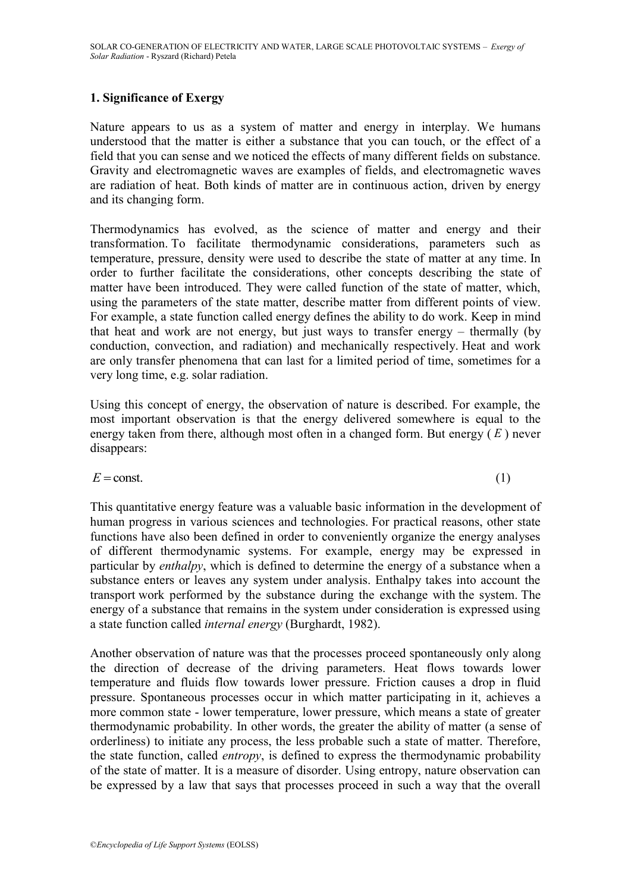## **1. Significance of Exergy**

Nature appears to us as a system of matter and energy in interplay. We humans understood that the matter is either a substance that you can touch, or the effect of a field that you can sense and we noticed the effects of many different fields on substance. Gravity and electromagnetic waves are examples of fields, and electromagnetic waves are radiation of heat. Both kinds of matter are in continuous action, driven by energy and its changing form.

Thermodynamics has evolved, as the science of matter and energy and their transformation. To facilitate thermodynamic considerations, parameters such as temperature, pressure, density were used to describe the state of matter at any time. In order to further facilitate the considerations, other concepts describing the state of matter have been introduced. They were called function of the state of matter, which, using the parameters of the state matter, describe matter from different points of view. For example, a state function called energy defines the ability to do work. Keep in mind that heat and work are not energy, but just ways to transfer energy – thermally (by conduction, convection, and radiation) and mechanically respectively. Heat and work are only transfer phenomena that can last for a limited period of time, sometimes for a very long time, e.g. solar radiation.

Using this concept of energy, the observation of nature is described. For example, the most important observation is that the energy delivered somewhere is equal to the energy taken from there, although most often in a changed form. But energy ( *E* ) never disappears:

$$
E = \text{const.} \tag{1}
$$

This quantitative energy feature was a valuable basic information in the development of human progress in various sciences and technologies. For practical reasons, other state functions have also been defined in order to conveniently organize the energy analyses of different thermodynamic systems. For example, energy may be expressed in particular by *enthalpy*, which is defined to determine the energy of a substance when a substance enters or leaves any system under analysis. Enthalpy takes into account the transport work performed by the substance during the exchange with the system. The energy of a substance that remains in the system under consideration is expressed using a state function called *internal energy* (Burghardt, 1982).

Another observation of nature was that the processes proceed spontaneously only along the direction of decrease of the driving parameters. Heat flows towards lower temperature and fluids flow towards lower pressure. Friction causes a drop in fluid pressure. Spontaneous processes occur in which matter participating in it, achieves a more common state - lower temperature, lower pressure, which means a state of greater thermodynamic probability. In other words, the greater the ability of matter (a sense of orderliness) to initiate any process, the less probable such a state of matter. Therefore, the state function, called *entropy*, is defined to express the thermodynamic probability of the state of matter. It is a measure of disorder. Using entropy, nature observation can be expressed by a law that says that processes proceed in such a way that the overall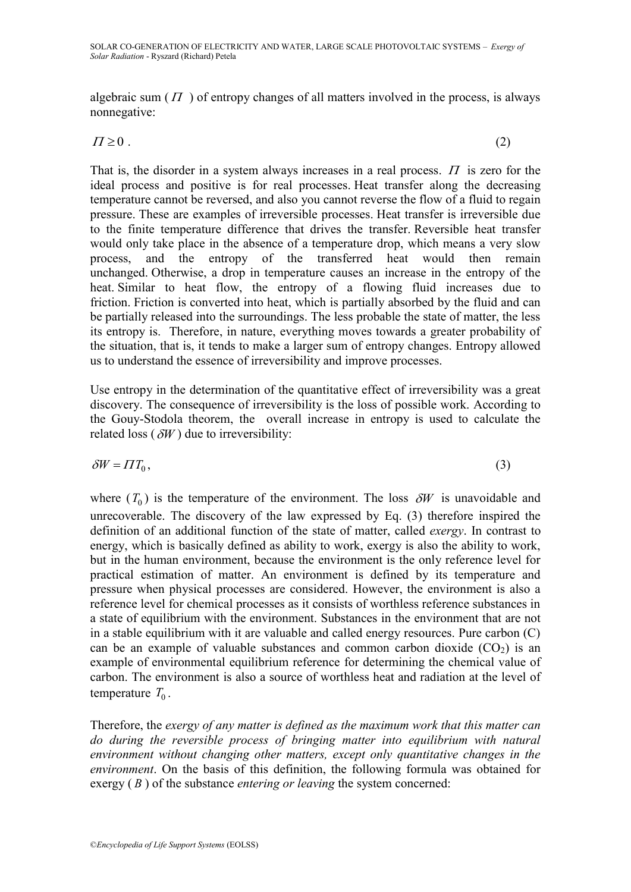algebraic sum  $(\Pi)$  of entropy changes of all matters involved in the process, is always nonnegative:

$$
\Pi \ge 0 \tag{2}
$$

That is, the disorder in a system always increases in a real process.  $\Pi$  is zero for the ideal process and positive is for real processes. Heat transfer along the decreasing temperature cannot be reversed, and also you cannot reverse the flow of a fluid to regain pressure. These are examples of irreversible processes. Heat transfer is irreversible due to the finite temperature difference that drives the transfer. Reversible heat transfer would only take place in the absence of a temperature drop, which means a very slow process, and the entropy of the transferred heat would then remain unchanged. Otherwise, a drop in temperature causes an increase in the entropy of the heat. Similar to heat flow, the entropy of a flowing fluid increases due to friction. Friction is converted into heat, which is partially absorbed by the fluid and can be partially released into the surroundings. The less probable the state of matter, the less its entropy is. Therefore, in nature, everything moves towards a greater probability of the situation, that is, it tends to make a larger sum of entropy changes. Entropy allowed us to understand the essence of irreversibility and improve processes.

Use entropy in the determination of the quantitative effect of irreversibility was a great discovery. The consequence of irreversibility is the loss of possible work. According to the Gouy-Stodola theorem, the overall increase in entropy is used to calculate the related loss  $(\delta W)$  due to irreversibility:

$$
\delta W = \Pi T_0, \tag{3}
$$

where  $(T_0)$  is the temperature of the environment. The loss  $\delta W$  is unavoidable and unrecoverable. The discovery of the law expressed by Eq. (3) therefore inspired the definition of an additional function of the state of matter, called *exergy*. In contrast to energy, which is basically defined as ability to work, exergy is also the ability to work, but in the human environment, because the environment is the only reference level for practical estimation of matter. An environment is defined by its temperature and pressure when physical processes are considered. However, the environment is also a reference level for chemical processes as it consists of worthless reference substances in a state of equilibrium with the environment. Substances in the environment that are not in a stable equilibrium with it are valuable and called energy resources. Pure carbon (C) can be an example of valuable substances and common carbon dioxide  $(CO<sub>2</sub>)$  is an example of environmental equilibrium reference for determining the chemical value of carbon. The environment is also a source of worthless heat and radiation at the level of temperature  $T_0$ .

Therefore, the *exergy of any matter is defined as the maximum work that this matter can do during the reversible process of bringing matter into equilibrium with natural environment without changing other matters, except only quantitative changes in the environment*. On the basis of this definition, the following formula was obtained for exergy (B) of the substance *entering or leaving* the system concerned: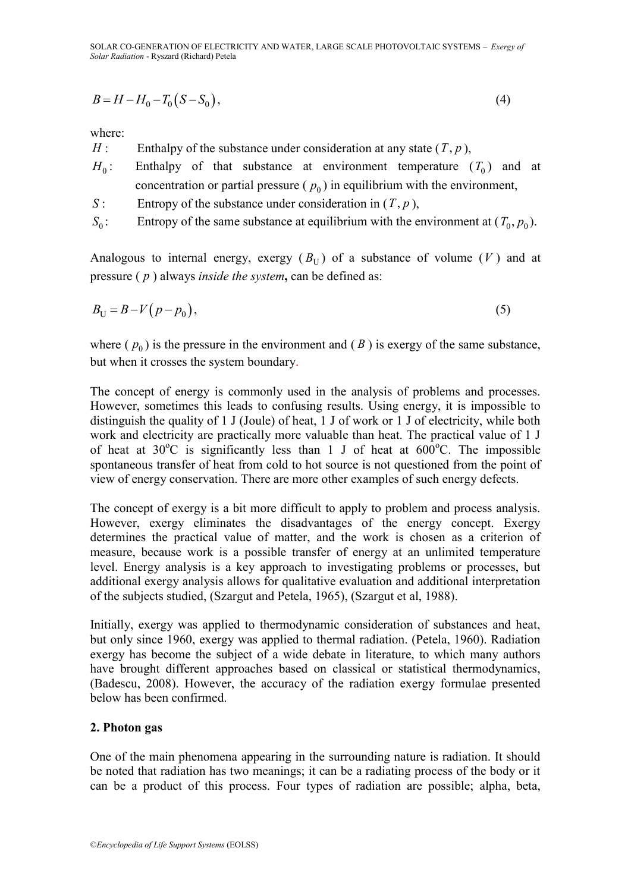SOLAR CO-GENERATION OF ELECTRICITY AND WATER, LARGE SCALE PHOTOVOLTAIC SYSTEMS – *Exergy of Solar Radiation* - Ryszard (Richard) Petela

$$
B = H - H_0 - T_0 (S - S_0),\tag{4}
$$

where:

- $H$ : Enthalpy of the substance under consideration at any state  $(T, p)$ ,
- $H_0$ : : Enthalpy of that substance at environment temperature  $(T_0)$  and at concentration or partial pressure  $(p_0)$  in equilibrium with the environment,
- *S* : Entropy of the substance under consideration in  $(T, p)$ ,
- $S_0$ : Entropy of the same substance at equilibrium with the environment at  $(T_0, p_0)$ .

Analogous to internal energy, exergy  $(B_U)$  of a substance of volume  $(V)$  and at pressure ( *p* ) always *inside the system***,** can be defined as:

$$
B_{\mathrm{U}} = B - V(p - p_0),\tag{5}
$$

where  $(p_0)$  is the pressure in the environment and  $(B)$  is exergy of the same substance, but when it crosses the system boundary.

 $R = H - H_0 - T_0 (S - S_0)$ , (4)<br>  $H_1$ . Endhalpy of the substance under consideration at any state  $(T, p)$ ,<br>  $H_0$ : Enthalpy of thut substance ut environment temperature  $(P_0)$  in combinition with the environment<br>  $S_0$ : Entropy The concept of energy is commonly used in the analysis of problems and processes. However, sometimes this leads to confusing results. Using energy, it is impossible to distinguish the quality of 1 J (Joule) of heat, 1 J of work or 1 J of electricity, while both work and electricity are practically more valuable than heat. The practical value of 1 J of heat at  $30^{\circ}$ C is significantly less than 1 J of heat at  $600^{\circ}$ C. The impossible spontaneous transfer of heat from cold to hot source is not questioned from the point of view of energy conservation. There are more other examples of such energy defects.

The concept of exergy is a bit more difficult to apply to problem and process analysis. However, exergy eliminates the disadvantages of the energy concept. Exergy determines the practical value of matter, and the work is chosen as a criterion of measure, because work is a possible transfer of energy at an unlimited temperature level. Energy analysis is a key approach to investigating problems or processes, but additional exergy analysis allows for qualitative evaluation and additional interpretation of the subjects studied, (Szargut and Petela, 1965), (Szargut et al, 1988).

Initially, exergy was applied to thermodynamic consideration of substances and heat, but only since 1960, exergy was applied to thermal radiation. (Petela, 1960). Radiation exergy has become the subject of a wide debate in literature, to which many authors have brought different approaches based on classical or statistical thermodynamics, (Badescu, 2008). However, the accuracy of the radiation exergy formulae presented below has been confirmed.

## **2. Photon gas**

One of the main phenomena appearing in the surrounding nature is radiation. It should be noted that radiation has two meanings; it can be a radiating process of the body or it can be a product of this process. Four types of radiation are possible; alpha, beta,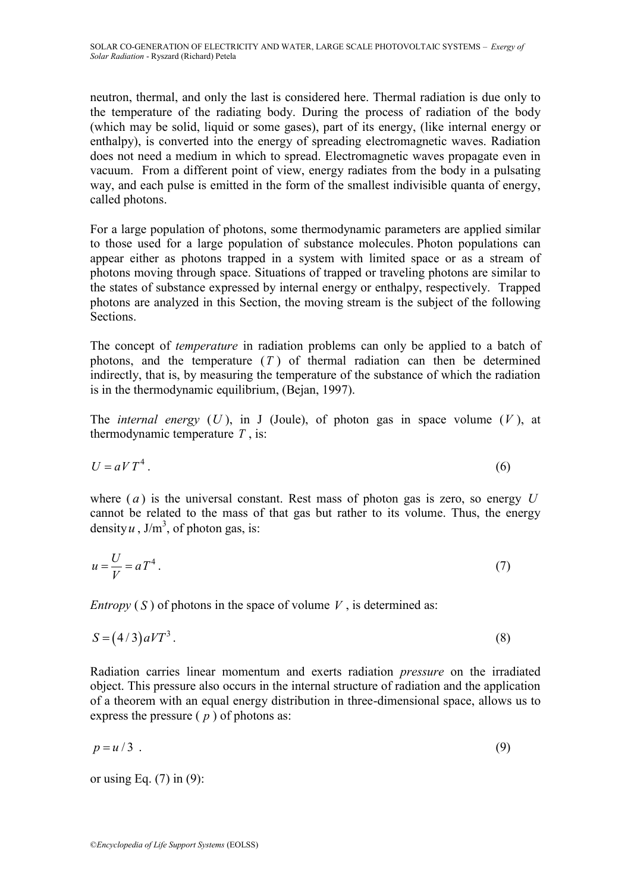neutron, thermal, and only the last is considered here. Thermal radiation is due only to the temperature of the radiating body. During the process of radiation of the body (which may be solid, liquid or some gases), part of its energy, (like internal energy or enthalpy), is converted into the energy of spreading electromagnetic waves. Radiation does not need a medium in which to spread. Electromagnetic waves propagate even in vacuum. From a different point of view, energy radiates from the body in a pulsating way, and each pulse is emitted in the form of the smallest indivisible quanta of energy, called photons.

For a large population of photons, some thermodynamic parameters are applied similar to those used for a large population of substance molecules. Photon populations can appear either as photons trapped in a system with limited space or as a stream of photons moving through space. Situations of trapped or traveling photons are similar to the states of substance expressed by internal energy or enthalpy, respectively. Trapped photons are analyzed in this Section, the moving stream is the subject of the following Sections.

The concept of *temperature* in radiation problems can only be applied to a batch of photons, and the temperature  $(T)$  of thermal radiation can then be determined indirectly, that is, by measuring the temperature of the substance of which the radiation is in the thermodynamic equilibrium, (Bejan, 1997).

The *internal energy*  $(U)$ , in J (Joule), of photon gas in space volume  $(V)$ , at thermodynamic temperature *T* , is:

$$
U = aVT^4.
$$

where  $(a)$  is the universal constant. Rest mass of photon gas is zero, so energy  $U$ cannot be related to the mass of that gas but rather to its volume. Thus, the energy density  $u$ ,  $J/m<sup>3</sup>$ , of photon gas, is:

$$
u = \frac{U}{V} = aT^4 \tag{7}
$$

*Entropy* (S) of photons in the space of volume  $V$ , is determined as:

$$
S = (4/3)aVT^3.
$$

Radiation carries linear momentum and exerts radiation *pressure* on the irradiated object. This pressure also occurs in the internal structure of radiation and the application of a theorem with an equal energy distribution in three-dimensional space, allows us to express the pressure  $(p)$  of photons as:

$$
p = u/3 \tag{9}
$$

or using Eq.  $(7)$  in  $(9)$ :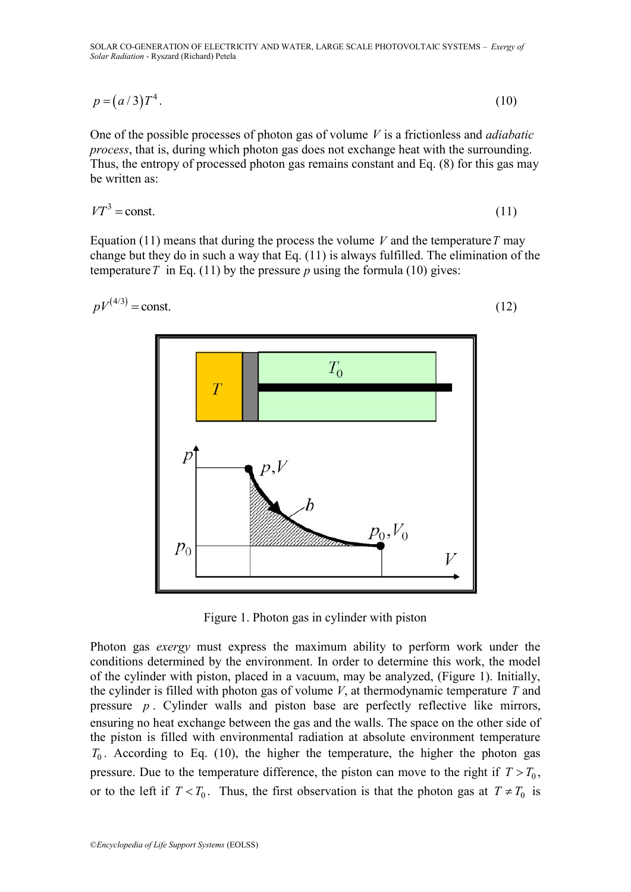SOLAR CO-GENERATION OF ELECTRICITY AND WATER, LARGE SCALE PHOTOVOLTAIC SYSTEMS – *Exergy of Solar Radiation* - Ryszard (Richard) Petela

$$
p = (a/3)T^4. \tag{10}
$$

One of the possible processes of photon gas of volume *V* is a frictionless and *adiabatic process*, that is, during which photon gas does not exchange heat with the surrounding. Thus, the entropy of processed photon gas remains constant and Eq. (8) for this gas may be written as:

$$
VT^3 = \text{const.}\tag{11}
$$

Equation (11) means that during the process the volume  $V$  and the temperature  $T$  may change but they do in such a way that Eq. (11) is always fulfilled. The elimination of the temperature T in Eq. (11) by the pressure p using the formula (10) gives:

©*Encyclopedia of Life Support Systems* (EOLSS) 4/3 *pV* const. (12)

Figure 1. Photon gas in cylinder with piston

Photon gas *exergy* must express the maximum ability to perform work under the conditions determined by the environment. In order to determine this work, the model of the cylinder with piston, placed in a vacuum, may be analyzed, (Figure 1). Initially, the cylinder is filled with photon gas of volume  $V$ , at thermodynamic temperature  $T$  and pressure *p* . Cylinder walls and piston base are perfectly reflective like mirrors, ensuring no heat exchange between the gas and the walls. The space on the other side of the piston is filled with environmental radiation at absolute environment temperature  $T_0$ . According to Eq. (10), the higher the temperature, the higher the photon gas pressure. Due to the temperature difference, the piston can move to the right if  $T > T_0$ , or to the left if  $T < T_0$ . Thus, the first observation is that the photon gas at  $T \neq T_0$  is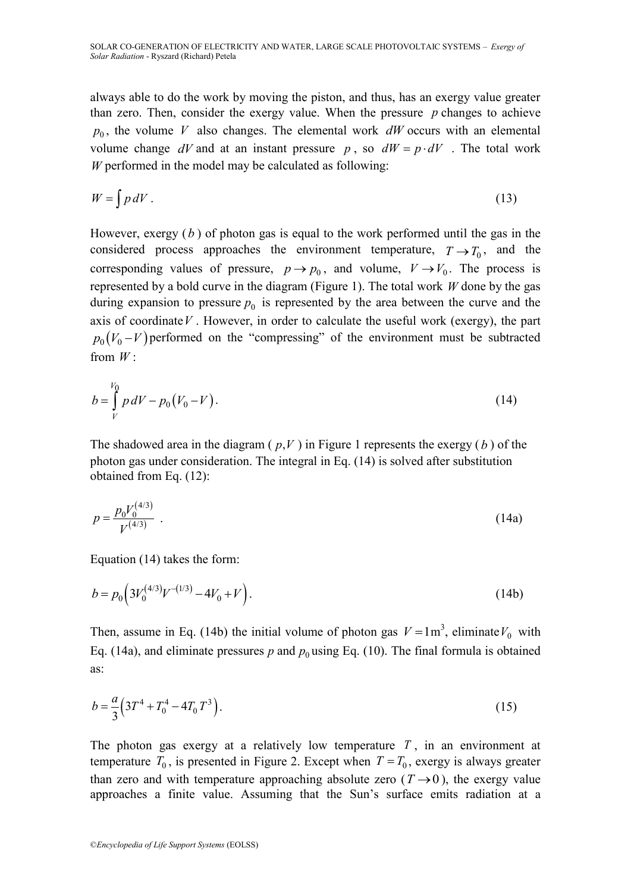always able to do the work by moving the piston, and thus, has an exergy value greater than zero. Then, consider the exergy value. When the pressure *p* changes to achieve  $p_0$ , the volume V also changes. The elemental work  $dW$  occurs with an elemental volume change  $dV$  and at an instant pressure p, so  $dW = p \cdot dV$ . The total work *W* performed in the model may be calculated as following:

$$
W = \int p \, dV \,. \tag{13}
$$

However, exergy ( *b* ) of photon gas is equal to the work performed until the gas in the considered process approaches the environment temperature,  $T \rightarrow T_0$ , and the corresponding values of pressure,  $p \rightarrow p_0$ , and volume,  $V \rightarrow V_0$ . The process is represented by a bold curve in the diagram (Figure 1). The total work *W* done by the gas during expansion to pressure  $p_0$  is represented by the area between the curve and the axis of coordinate  $V$ . However, in order to calculate the useful work (exergy), the part  $p_0(V_0 - V)$  performed on the "compressing" of the environment must be subtracted from *W* :

$$
b = \int\limits_V^{V_0} p \, dV - p_0 \big( V_0 - V \big). \tag{14}
$$

The shadowed area in the diagram  $(p, V)$  in Figure 1 represents the exergy  $(b)$  of the photon gas under consideration. The integral in Eq. (14) is solved after substitution obtained from Eq. (12):

$$
p = \frac{p_0 V_0^{(4/3)}}{V^{(4/3)}} \tag{14a}
$$

Equation (14) takes the form:

$$
b = p_0 \left( 3V_0^{(4/3)}V^{-(1/3)} - 4V_0 + V \right). \tag{14b}
$$

Then, assume in Eq. (14b) the initial volume of photon gas  $V = 1 \text{ m}^3$ , eliminate  $V_0$  with Eq. (14a), and eliminate pressures  $p$  and  $p_0$  using Eq. (10). The final formula is obtained as:

$$
b = \frac{a}{3} \left( 3T^4 + T_0^4 - 4T_0 T^3 \right). \tag{15}
$$

The photon gas exergy at a relatively low temperature  $T$ , in an environment at temperature  $T_0$ , is presented in Figure 2. Except when  $T = T_0$ , exergy is always greater than zero and with temperature approaching absolute zero  $(T \rightarrow 0)$ , the exergy value approaches a finite value. Assuming that the Sun's surface emits radiation at a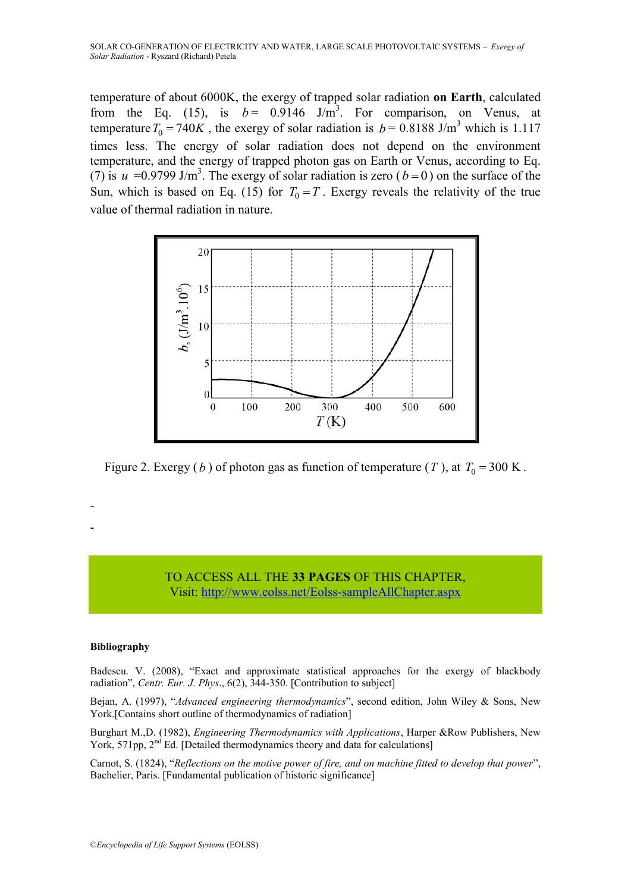temperature of about 6000K, the exergy of trapped solar radiation **on Earth**, calculated from the Eq. (15), is  $b = 0.9146$  J/m<sup>3</sup>. For comparison, on Venus, at temperature  $T_0 = 740K$ , the exergy of solar radiation is  $b = 0.8188$  J/m<sup>3</sup> which is 1.117 times less. The energy of solar radiation does not depend on the environment temperature, and the energy of trapped photon gas on Earth or Venus, according to Eq. (7) is  $u = 0.9799$  J/m<sup>3</sup>. The exergy of solar radiation is zero ( $b = 0$ ) on the surface of the Sun, which is based on Eq. (15) for  $T_0 = T$ . Exergy reveals the relativity of the true value of thermal radiation in nature.



Figure 2. Exergy (*b*) of photon gas as function of temperature (*T*), at  $T_0 = 300$  K.

## TO ACCESS ALL THE **33 PAGES** OF THIS CHAPTER, Vis[it:](https://www.eolss.net/ebooklib/sc_cart.aspx?File=E6-107-21) <http://www.eolss.net/Eolss-sampleAllChapter.aspx>

#### **Bibliography**

- -

Badescu. V. (2008), "Exact and approximate statistical approaches for the exergy of blackbody radiation", *Centr. Eur. J. Phys*., 6(2), 344-350. [Contribution to subject]

Bejan, A. (1997), "*Advanced engineering thermodynamics*", second edition, John Wiley & Sons, New York.[Contains short outline of thermodynamics of radiation]

Burghart M.,D. (1982), *Engineering Thermodynamics with Applications*, Harper &Row Publishers, New York, 571pp,  $2<sup>nd</sup>$  Ed. [Detailed thermodynamics theory and data for calculations]

Carnot, S. (1824), "*Reflections on the motive power of fire, and on machine fitted to develop that power*", Bachelier, Paris. [Fundamental publication of historic significance]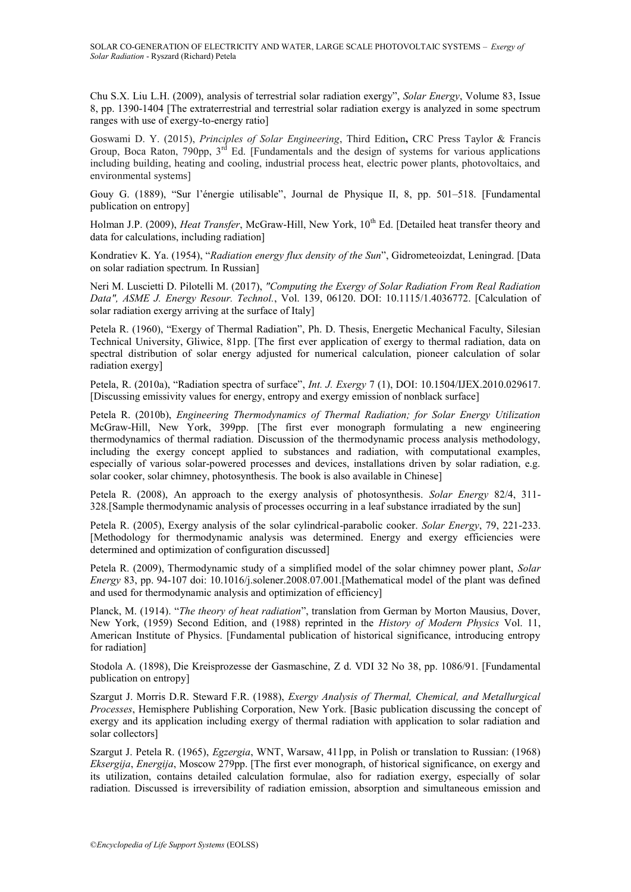Chu S.X. Liu L.H. (2009), analysis of terrestrial solar radiation exergy", *[Solar Energy](https://www.sciencedirect.com/science/journal/0038092X)*, [Volume 83, Issue](https://www.sciencedirect.com/science/journal/0038092X/83/8)  [8,](https://www.sciencedirect.com/science/journal/0038092X/83/8) pp. 1390-1404 [The extraterrestrial and terrestrial solar radiation exergy is analyzed in some spectrum ranges with use of exergy-to-energy ratio]

Goswami D. Y. (2015), *Principles of Solar Engineering*, Third Edition**,** CRC Press Taylor & Francis Group, Boca Raton,  $790$ pp,  $3<sup>rd</sup>$  Ed. [Fundamentals and the design of systems for various applications including building, heating and cooling, industrial process heat, electric power plants, photovoltaics, and environmental systems]

Gouy G. (1889), "Sur l'énergie utilisable", Journal de Physique II, 8, pp. 501–518. [Fundamental publication on entropy]

Holman J.P. (2009), *Heat Transfer*, McGraw-Hill, New York, 10<sup>th</sup> Ed. [Detailed heat transfer theory and data for calculations, including radiation]

Kondratiev K. Ya. (1954), "*Radiation energy flux density of the Sun*", Gidrometeoizdat, Leningrad. [Data on solar radiation spectrum. In Russian]

Neri M. Luscietti D. Pilotelli M. (2017), *"Computing the Exergy of Solar Radiation From Real Radiation Data", ASME J. Energy Resour. Technol.*, Vol. 139, 06120. DOI: 10.1115/1.4036772. [Calculation of solar radiation exergy arriving at the surface of Italy]

Petela R. (1960), "Exergy of Thermal Radiation", Ph. D. Thesis, Energetic Mechanical Faculty, Silesian Technical University, Gliwice, 81pp. [The first ever application of exergy to thermal radiation, data on spectral distribution of solar energy adjusted for numerical calculation, pioneer calculation of solar radiation exergy]

Petela, R. (2010a), "Radiation spectra of surface", *Int. J. Exergy* 7 (1), DOI: 10.1504/IJEX.2010.029617. [Discussing emissivity values for energy, entropy and exergy emission of nonblack surface]

Petela R. (2010b), *Engineering Thermodynamics of Thermal Radiation; for Solar Energy Utilization* McGraw-Hill, New York, 399pp. [The first ever monograph formulating a new engineering thermodynamics of thermal radiation. Discussion of the thermodynamic process analysis methodology, including the exergy concept applied to substances and radiation, with computational examples, especially of various solar-powered processes and devices, installations driven by solar radiation, e.g. solar cooker, solar chimney, photosynthesis. The book is also available in Chinese]

Petela R. (2008), An approach to the exergy analysis of photosynthesis. *Solar Energy* 82/4, 311- 328.[Sample thermodynamic analysis of processes occurring in a leaf substance irradiated by the sun]

Petela R. (2005), Exergy analysis of the solar cylindrical-parabolic cooker. *Solar Energy*, 79, 221-233. [Methodology for thermodynamic analysis was determined. Energy and exergy efficiencies were determined and optimization of configuration discussed]

Petela R. (2009), Thermodynamic study of a simplified model of the solar chimney power plant, *Solar Energy* 83, pp. 94-107 doi: 10.1016/j.solener.2008.07.001.[Mathematical model of the plant was defined and used for thermodynamic analysis and optimization of efficiency]

Planck, M. (1914). "*The theory of heat radiation*", translation from German by Morton Mausius, Dover, New York, (1959) Second Edition, and (1988) reprinted in the *History of Modern Physics* Vol. 11, American Institute of Physics. [Fundamental publication of historical significance, introducing entropy for radiation]

Stodola A. (1898), Die Kreisprozesse der Gasmaschine, Z d. VDI 32 No 38, pp. 1086/91. [Fundamental publication on entropy]

Szargut J. Morris D.R. Steward F.R. (1988), *Exergy Analysis of Thermal, Chemical, and Metallurgical Processes*, Hemisphere Publishing Corporation, New York. [Basic publication discussing the concept of exergy and its application including exergy of thermal radiation with application to solar radiation and solar collectors]

Szargut J. Petela R. (1965), *Egzergia*, WNT, Warsaw, 411pp, in Polish or translation to Russian: (1968) *Eksergija*, *Energija*, Moscow 279pp. [The first ever monograph, of historical significance, on exergy and its utilization, contains detailed calculation formulae, also for radiation exergy, especially of solar radiation. Discussed is irreversibility of radiation emission, absorption and simultaneous emission and